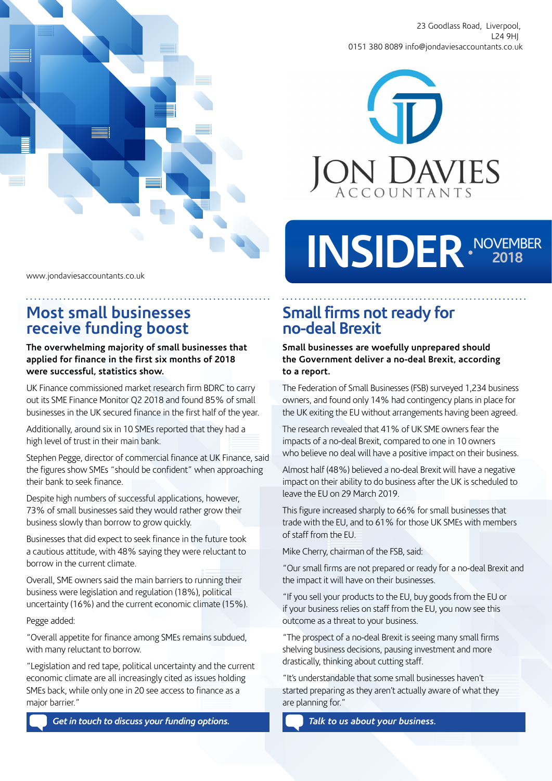

23 Goodlass Road, Liverpool, L24 9HJ 0151 380 8089 info@jondaviesaccountants.co.uk



# INSIDER NOVEMBER

www.jondaviesaccountants.co.uk

## **Most small businesses receive funding boost**

#### **The overwhelming majority of small businesses that applied for finance in the first six months of 2018 were successful, statistics show.**

UK Finance commissioned market research firm BDRC to carry out its SME Finance Monitor Q2 2018 and found 85% of small businesses in the UK secured finance in the first half of the year.

Additionally, around six in 10 SMEs reported that they had a high level of trust in their main bank.

Stephen Pegge, director of commercial finance at UK Finance, said the figures show SMEs "should be confident" when approaching their bank to seek finance.

Despite high numbers of successful applications, however, 73% of small businesses said they would rather grow their business slowly than borrow to grow quickly.

Businesses that did expect to seek finance in the future took a cautious attitude, with 48% saying they were reluctant to borrow in the current climate.

Overall, SME owners said the main barriers to running their business were legislation and regulation (18%), political uncertainty (16%) and the current economic climate (15%).

Pegge added:

"Overall appetite for finance among SMEs remains subdued, with many reluctant to borrow.

"Legislation and red tape, political uncertainty and the current economic climate are all increasingly cited as issues holding SMEs back, while only one in 20 see access to finance as a major barrier."

**Small firms not ready for no-deal Brexit**

**Small businesses are woefully unprepared should the Government deliver a no-deal Brexit, according to a report.** 

The Federation of Small Businesses (FSB) surveyed 1,234 business owners, and found only 14% had contingency plans in place for the UK exiting the EU without arrangements having been agreed.

The research revealed that 41% of UK SME owners fear the impacts of a no-deal Brexit, compared to one in 10 owners who believe no deal will have a positive impact on their business.

Almost half (48%) believed a no-deal Brexit will have a negative impact on their ability to do business after the UK is scheduled to leave the EU on 29 March 2019.

This figure increased sharply to 66% for small businesses that trade with the EU, and to 61% for those UK SMEs with members of staff from the EU.

Mike Cherry, chairman of the FSB, said:

"Our small firms are not prepared or ready for a no-deal Brexit and the impact it will have on their businesses.

"If you sell your products to the EU, buy goods from the EU or if your business relies on staff from the EU, you now see this outcome as a threat to your business.

"The prospect of a no-deal Brexit is seeing many small firms shelving business decisions, pausing investment and more drastically, thinking about cutting staff.

"It's understandable that some small businesses haven't started preparing as they aren't actually aware of what they are planning for."

*Talk to us about your business.*

*Get in touch to discuss your funding options.*